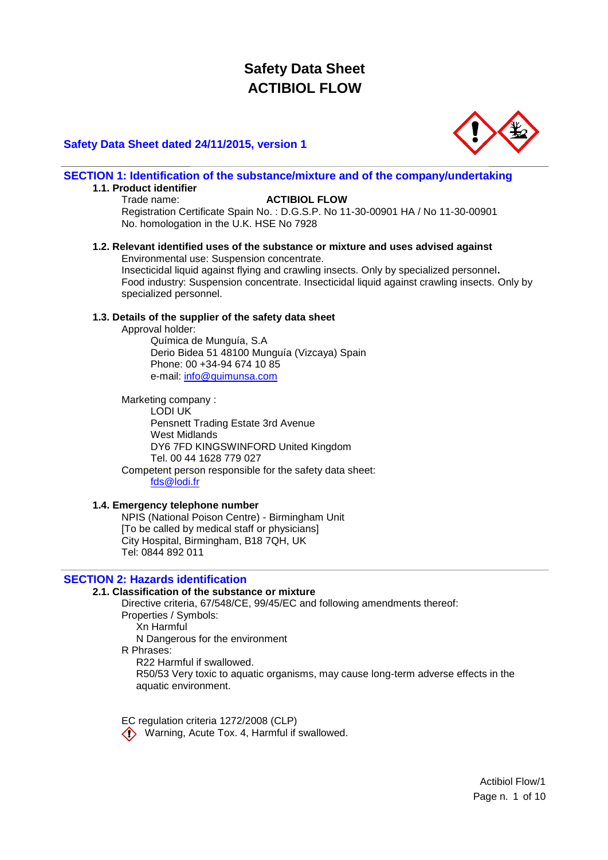## **Safety Data Sheet dated 24/11/2015, version 1**



**SECTION 1: Identification of the substance/mixture and of the company/undertaking**

## **1.1. Product identifier**

### Trade name: **ACTIBIOL FLOW**

Registration Certificate Spain No. : D.G.S.P. No 11-30-00901 HA / No 11-30-00901 No. homologation in the U.K. HSE No 7928

### **1.2. Relevant identified uses of the substance or mixture and uses advised against** Environmental use: Suspension concentrate.

Insecticidal liquid against flying and crawling insects. Only by specialized personnel**.** Food industry: Suspension concentrate. Insecticidal liquid against crawling insects. Only by specialized personnel.

#### **1.3. Details of the supplier of the safety data sheet**

Approval holder:

Química de Munguía, S.A Derio Bidea 51 48100 Munguía (Vizcaya) Spain Phone: 00 +34-94 674 10 85 e-mail: [info@quimunsa.com](mailto:info@quimunsa.com)

Marketing company : LODI UK Pensnett Trading Estate 3rd Avenue West Midlands DY6 7FD KINGSWINFORD United Kingdom Tel. 00 44 1628 779 027 Competent person responsible for the safety data sheet: [fds@lodi.fr](mailto:fds@lodi.fr)

## **1.4. Emergency telephone number**

NPIS (National Poison Centre) - Birmingham Unit [To be called by medical staff or physicians] City Hospital, Birmingham, B18 7QH, UK Tel: 0844 892 011

## **SECTION 2: Hazards identification**

## **2.1. Classification of the substance or mixture**

Directive criteria, 67/548/CE, 99/45/EC and following amendments thereof: Properties / Symbols: Xn Harmful N Dangerous for the environment R Phrases: R22 Harmful if swallowed. R50/53 Very toxic to aquatic organisms, may cause long-term adverse effects in the aquatic environment.

EC regulation criteria 1272/2008 (CLP) Warning, Acute Tox. 4, Harmful if swallowed.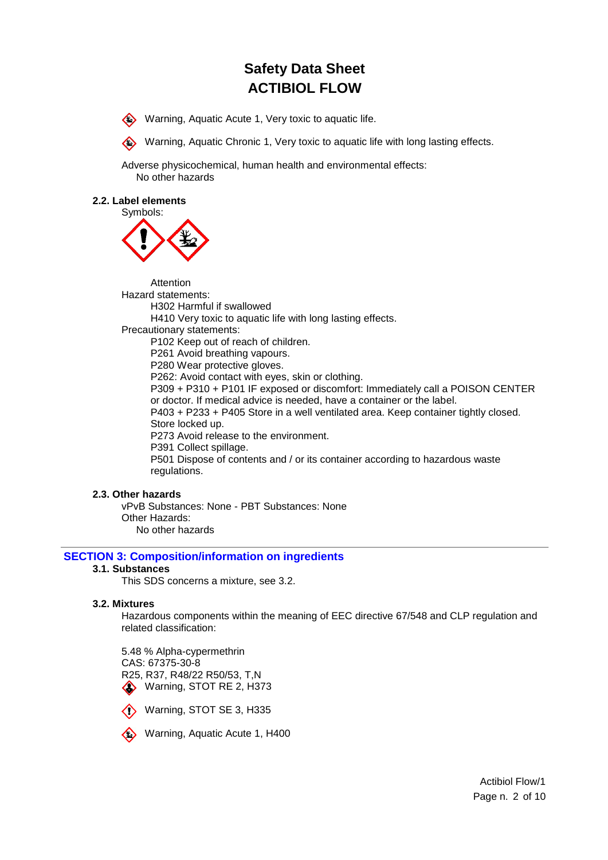Warning, Aquatic Acute 1, Very toxic to aquatic life.



Warning, Aquatic Chronic 1, Very toxic to aquatic life with long lasting effects.

Adverse physicochemical, human health and environmental effects: No other hazards

#### **2.2. Label elements**



Attention Hazard statements: H302 Harmful if swallowed H410 Very toxic to aquatic life with long lasting effects. Precautionary statements: P102 Keep out of reach of children. P261 Avoid breathing vapours. P280 Wear protective gloves. P262: Avoid contact with eyes, skin or clothing. P309 + P310 + P101 IF exposed or discomfort: Immediately call a POISON CENTER or doctor. If medical advice is needed, have a container or the label. P403 + P233 + P405 Store in a well ventilated area. Keep container tightly closed. Store locked up. P273 Avoid release to the environment. P391 Collect spillage. P501 Dispose of contents and / or its container according to hazardous waste regulations.

## **2.3. Other hazards**

vPvB Substances: None - PBT Substances: None Other Hazards: No other hazards

#### **SECTION 3: Composition/information on ingredients**

#### **3.1. Substances**

This SDS concerns a mixture, see 3.2.

#### **3.2. Mixtures**

Hazardous components within the meaning of EEC directive 67/548 and CLP regulation and related classification:

5.48 % Alpha-cypermethrin CAS: 67375-30-8 R25, R37, R48/22 R50/53, T,N Warning, STOT RE 2, H373





**Warning, Aquatic Acute 1, H400** 

Actibiol Flow/1 Page n. 2 of 10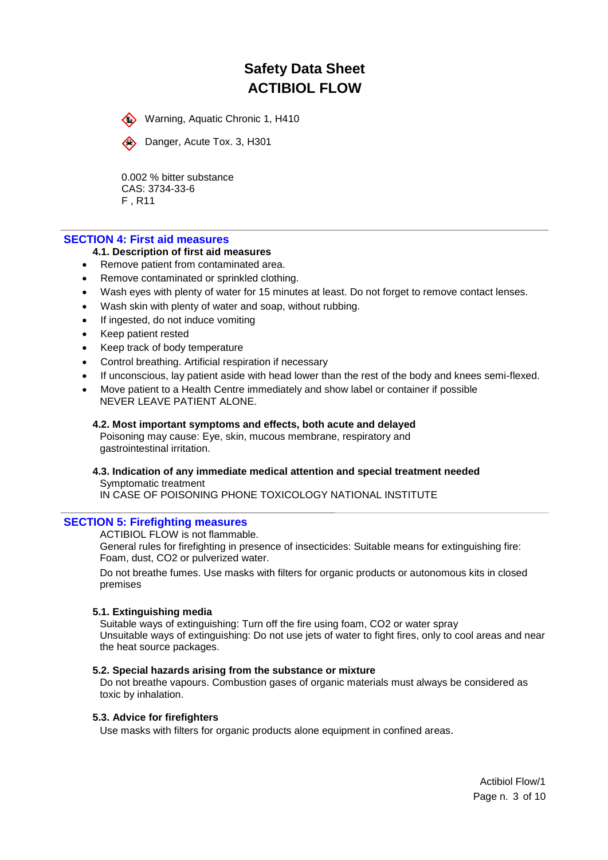Warning, Aquatic Chronic 1, H410



Danger, Acute Tox. 3, H301

0.002 % bitter substance CAS: 3734-33-6 F , R11

#### **SECTION 4: First aid measures**

#### **4.1. Description of first aid measures**

- Remove patient from contaminated area.
- Remove contaminated or sprinkled clothing.
- Wash eyes with plenty of water for 15 minutes at least. Do not forget to remove contact lenses.
- Wash skin with plenty of water and soap, without rubbing.
- If ingested, do not induce vomiting
- Keep patient rested
- Keep track of body temperature
- Control breathing. Artificial respiration if necessary
- If unconscious, lay patient aside with head lower than the rest of the body and knees semi-flexed.
- Move patient to a Health Centre immediately and show label or container if possible NEVER LEAVE PATIENT ALONE.

#### **4.2. Most important symptoms and effects, both acute and delayed**

Poisoning may cause: Eye, skin, mucous membrane, respiratory and gastrointestinal irritation.

**4.3. Indication of any immediate medical attention and special treatment needed** Symptomatic treatment IN CASE OF POISONING PHONE TOXICOLOGY NATIONAL INSTITUTE

## **SECTION 5: Firefighting measures**

ACTIBIOL FLOW is not flammable.

General rules for firefighting in presence of insecticides: Suitable means for extinguishing fire: Foam, dust, CO2 or pulverized water.

Do not breathe fumes. Use masks with filters for organic products or autonomous kits in closed premises

#### **5.1. Extinguishing media**

Suitable ways of extinguishing: Turn off the fire using foam, CO2 or water spray Unsuitable ways of extinguishing: Do not use jets of water to fight fires, only to cool areas and near the heat source packages.

#### **5.2. Special hazards arising from the substance or mixture**

Do not breathe vapours. Combustion gases of organic materials must always be considered as toxic by inhalation.

#### **5.3. Advice for firefighters**

Use masks with filters for organic products alone equipment in confined areas.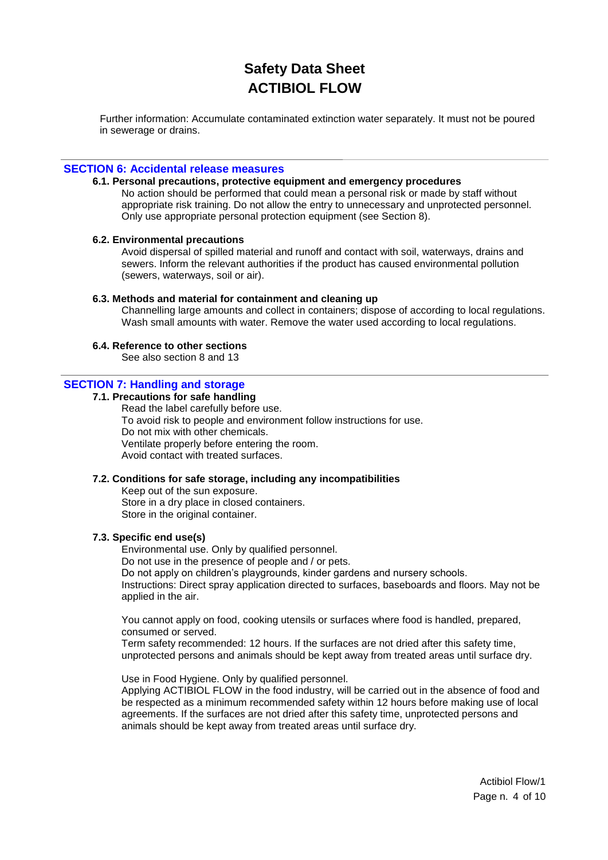Further information: Accumulate contaminated extinction water separately. It must not be poured in sewerage or drains.

#### **SECTION 6: Accidental release measures**

### **6.1. Personal precautions, protective equipment and emergency procedures**

No action should be performed that could mean a personal risk or made by staff without appropriate risk training. Do not allow the entry to unnecessary and unprotected personnel. Only use appropriate personal protection equipment (see Section 8).

#### **6.2. Environmental precautions**

Avoid dispersal of spilled material and runoff and contact with soil, waterways, drains and sewers. Inform the relevant authorities if the product has caused environmental pollution (sewers, waterways, soil or air).

#### **6.3. Methods and material for containment and cleaning up**

Channelling large amounts and collect in containers; dispose of according to local regulations. Wash small amounts with water. Remove the water used according to local regulations.

### **6.4. Reference to other sections**

See also section 8 and 13

## **SECTION 7: Handling and storage**

#### **7.1. Precautions for safe handling**

Read the label carefully before use. To avoid risk to people and environment follow instructions for use. Do not mix with other chemicals. Ventilate properly before entering the room. Avoid contact with treated surfaces.

#### **7.2. Conditions for safe storage, including any incompatibilities**

Keep out of the sun exposure. Store in a dry place in closed containers. Store in the original container.

### **7.3. Specific end use(s)**

Environmental use. Only by qualified personnel. Do not use in the presence of people and / or pets. Do not apply on children's playgrounds, kinder gardens and nursery schools. Instructions: Direct spray application directed to surfaces, baseboards and floors. May not be applied in the air.

You cannot apply on food, cooking utensils or surfaces where food is handled, prepared, consumed or served.

Term safety recommended: 12 hours. If the surfaces are not dried after this safety time, unprotected persons and animals should be kept away from treated areas until surface dry.

Use in Food Hygiene. Only by qualified personnel. Applying ACTIBIOL FLOW in the food industry, will be carried out in the absence of food and be respected as a minimum recommended safety within 12 hours before making use of local agreements. If the surfaces are not dried after this safety time, unprotected persons and animals should be kept away from treated areas until surface dry.

> Actibiol Flow/1 Page n. 4 of 10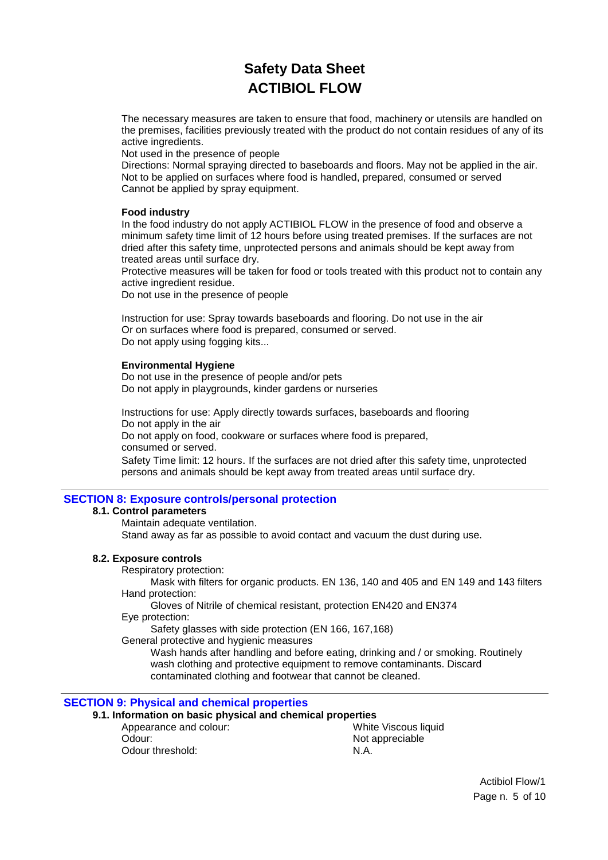The necessary measures are taken to ensure that food, machinery or utensils are handled on the premises, facilities previously treated with the product do not contain residues of any of its active ingredients.

Not used in the presence of people

Directions: Normal spraying directed to baseboards and floors. May not be applied in the air. Not to be applied on surfaces where food is handled, prepared, consumed or served Cannot be applied by spray equipment.

### **Food industry**

In the food industry do not apply ACTIBIOL FLOW in the presence of food and observe a minimum safety time limit of 12 hours before using treated premises. If the surfaces are not dried after this safety time, unprotected persons and animals should be kept away from treated areas until surface dry.

Protective measures will be taken for food or tools treated with this product not to contain any active ingredient residue.

Do not use in the presence of people

Instruction for use: Spray towards baseboards and flooring. Do not use in the air Or on surfaces where food is prepared, consumed or served. Do not apply using fogging kits...

#### **Environmental Hygiene**

Do not use in the presence of people and/or pets Do not apply in playgrounds, kinder gardens or nurseries

Instructions for use: Apply directly towards surfaces, baseboards and flooring Do not apply in the air Do not apply on food, cookware or surfaces where food is prepared, consumed or served.

Safety Time limit: 12 hours. If the surfaces are not dried after this safety time, unprotected persons and animals should be kept away from treated areas until surface dry.

## **SECTION 8: Exposure controls/personal protection**

#### **8.1. Control parameters**

Maintain adequate ventilation. Stand away as far as possible to avoid contact and vacuum the dust during use.

## **8.2. Exposure controls**

Respiratory protection:

Mask with filters for organic products. EN 136, 140 and 405 and EN 149 and 143 filters Hand protection:

Gloves of Nitrile of chemical resistant, protection EN420 and EN374

Eye protection:

Safety glasses with side protection (EN 166, 167,168)

General protective and hygienic measures

Wash hands after handling and before eating, drinking and / or smoking. Routinely wash clothing and protective equipment to remove contaminants. Discard contaminated clothing and footwear that cannot be cleaned.

## **SECTION 9: Physical and chemical properties**

**9.1. Information on basic physical and chemical properties**

| Appearance and colour: | White Viscous liquid |
|------------------------|----------------------|
| Odour:                 | Not appreciable      |
| Odour threshold:       | N.A.                 |
|                        |                      |

Actibiol Flow/1 Page n. 5 of 10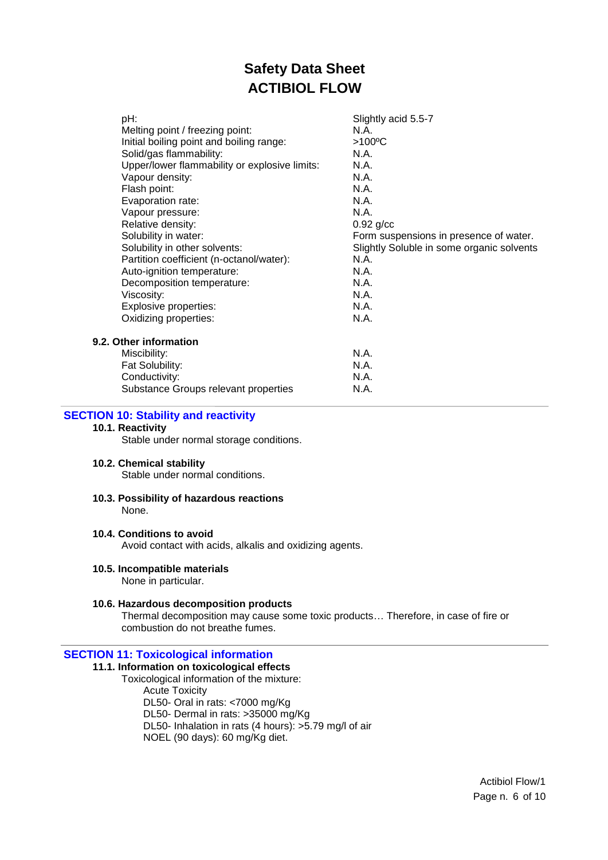| pH:                                           | Slightly acid 5.5-7                       |
|-----------------------------------------------|-------------------------------------------|
| Melting point / freezing point:               | N.A.                                      |
| Initial boiling point and boiling range:      | >100°C                                    |
| Solid/gas flammability:                       | N.A.                                      |
| Upper/lower flammability or explosive limits: | N.A.                                      |
| Vapour density:                               | N.A.                                      |
| Flash point:                                  | N.A.                                      |
| Evaporation rate:                             | N.A.                                      |
| Vapour pressure:                              | N.A.                                      |
| Relative density:                             | $0.92$ g/cc                               |
| Solubility in water:                          | Form suspensions in presence of water.    |
| Solubility in other solvents:                 | Slightly Soluble in some organic solvents |
| Partition coefficient (n-octanol/water):      | N.A.                                      |
| Auto-ignition temperature:                    | N.A.                                      |
| Decomposition temperature:                    | N.A.                                      |
| Viscosity:                                    | N.A.                                      |
| Explosive properties:                         | N.A.                                      |
| Oxidizing properties:                         | N.A.                                      |
| <b>Other information</b>                      |                                           |
| Miscibility:                                  | N.A.                                      |
| Fat Solubility:                               | N.A.                                      |
| Conductivity:                                 | N.A.                                      |
| Substance Groups relevant properties          | N.A.                                      |

## **SECTION 10: Stability and reactivity**

## **10.1. Reactivity**

**9.2.** 

Stable under normal storage conditions.

### **10.2. Chemical stability**

Stable under normal conditions.

#### **10.3. Possibility of hazardous reactions** None.

### **10.4. Conditions to avoid**

Avoid contact with acids, alkalis and oxidizing agents.

#### **10.5. Incompatible materials**

None in particular.

#### **10.6. Hazardous decomposition products**

Thermal decomposition may cause some toxic products… Therefore, in case of fire or combustion do not breathe fumes.

#### **SECTION 11: Toxicological information**

## **11.1. Information on toxicological effects**

Toxicological information of the mixture: Acute Toxicity

DL50- Oral in rats: <7000 mg/Kg

DL50- Dermal in rats: >35000 mg/Kg

DL50- Inhalation in rats (4 hours): >5.79 mg/l of air

NOEL (90 days): 60 mg/Kg diet.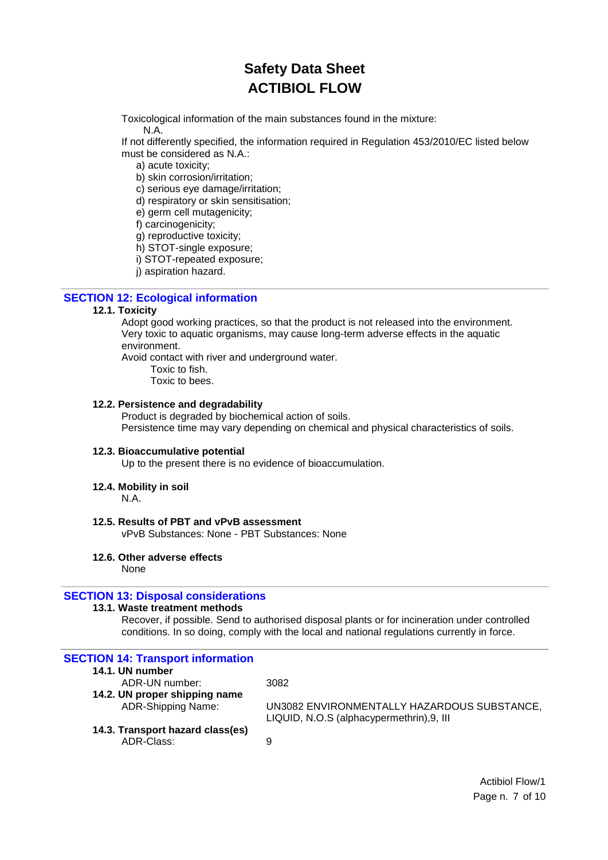Toxicological information of the main substances found in the mixture:

N.A.

If not differently specified, the information required in Regulation 453/2010/EC listed below must be considered as N.A.:

a) acute toxicity;

b) skin corrosion/irritation;

c) serious eye damage/irritation;

d) respiratory or skin sensitisation;

e) germ cell mutagenicity;

f) carcinogenicity;

g) reproductive toxicity;

h) STOT-single exposure;

i) STOT-repeated exposure;

j) aspiration hazard.

## **SECTION 12: Ecological information**

## **12.1. Toxicity**

Adopt good working practices, so that the product is not released into the environment. Very toxic to aquatic organisms, may cause long-term adverse effects in the aquatic environment.

Avoid contact with river and underground water.

Toxic to fish.

Toxic to bees.

#### **12.2. Persistence and degradability**

Product is degraded by biochemical action of soils. Persistence time may vary depending on chemical and physical characteristics of soils.

## **12.3. Bioaccumulative potential**

Up to the present there is no evidence of bioaccumulation.

## **12.4. Mobility in soil**

N.A.

## **12.5. Results of PBT and vPvB assessment**

vPvB Substances: None - PBT Substances: None

## **12.6. Other adverse effects**

None

## **SECTION 13: Disposal considerations**

## **13.1. Waste treatment methods**

Recover, if possible. Send to authorised disposal plants or for incineration under controlled conditions. In so doing, comply with the local and national regulations currently in force.

| <b>SECTION 14: Transport information</b> |                                             |
|------------------------------------------|---------------------------------------------|
| 14.1. UN number                          |                                             |
| ADR-UN number:                           | 3082                                        |
| 14.2. UN proper shipping name            |                                             |
| ADR-Shipping Name:                       | UN3082 ENVIRONMENTALLY HAZARDOUS SUBSTANCE, |
|                                          | LIQUID, N.O.S (alphacypermethrin), 9, III   |
| 14.3. Transport hazard class(es)         |                                             |
| ADR-Class:                               | 9                                           |
|                                          |                                             |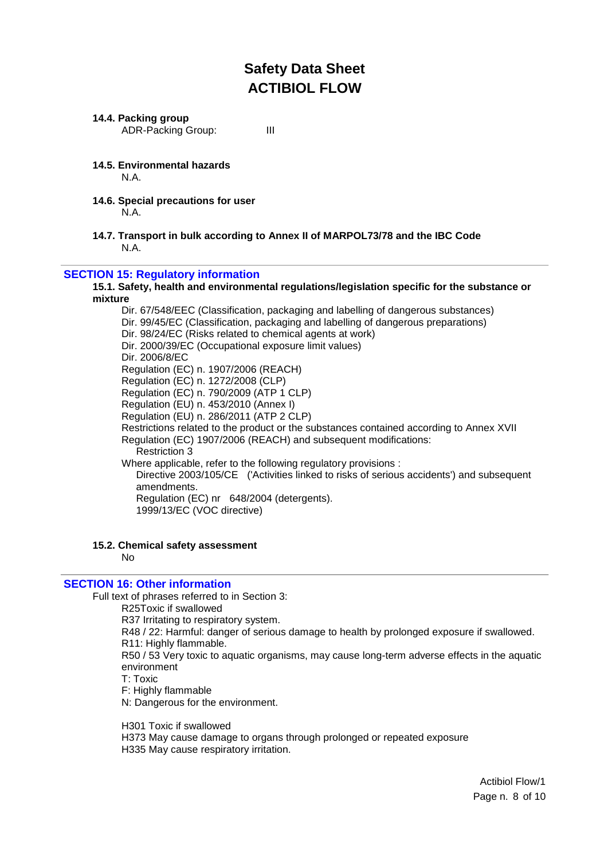#### **14.4. Packing group**

ADR-Packing Group: III

- **14.5. Environmental hazards** N.A.
- **14.6. Special precautions for user** N.A.
- **14.7. Transport in bulk according to Annex II of MARPOL73/78 and the IBC Code** N.A.

## **SECTION 15: Regulatory information**

#### **15.1. Safety, health and environmental regulations/legislation specific for the substance or mixture**

Dir. 67/548/EEC (Classification, packaging and labelling of dangerous substances) Dir. 99/45/EC (Classification, packaging and labelling of dangerous preparations) Dir. 98/24/EC (Risks related to chemical agents at work) Dir. 2000/39/EC (Occupational exposure limit values) Dir. 2006/8/EC Regulation (EC) n. 1907/2006 (REACH) Regulation (EC) n. 1272/2008 (CLP) Regulation (EC) n. 790/2009 (ATP 1 CLP) Regulation (EU) n. 453/2010 (Annex I) Regulation (EU) n. 286/2011 (ATP 2 CLP) Restrictions related to the product or the substances contained according to Annex XVII Regulation (EC) 1907/2006 (REACH) and subsequent modifications: Restriction 3 Where applicable, refer to the following regulatory provisions : Directive 2003/105/CE ('Activities linked to risks of serious accidents') and subsequent amendments. Regulation (EC) nr 648/2004 (detergents). 1999/13/EC (VOC directive)

### **15.2. Chemical safety assessment**

No

#### **SECTION 16: Other information**

Full text of phrases referred to in Section 3:

R25Toxic if swallowed

R37 Irritating to respiratory system.

R48 / 22: Harmful: danger of serious damage to health by prolonged exposure if swallowed.

R11: Highly flammable.

R50 / 53 Very toxic to aquatic organisms, may cause long-term adverse effects in the aquatic environment

T: Toxic

F: Highly flammable

N: Dangerous for the environment.

H301 Toxic if swallowed

H373 May cause damage to organs through prolonged or repeated exposure H335 May cause respiratory irritation.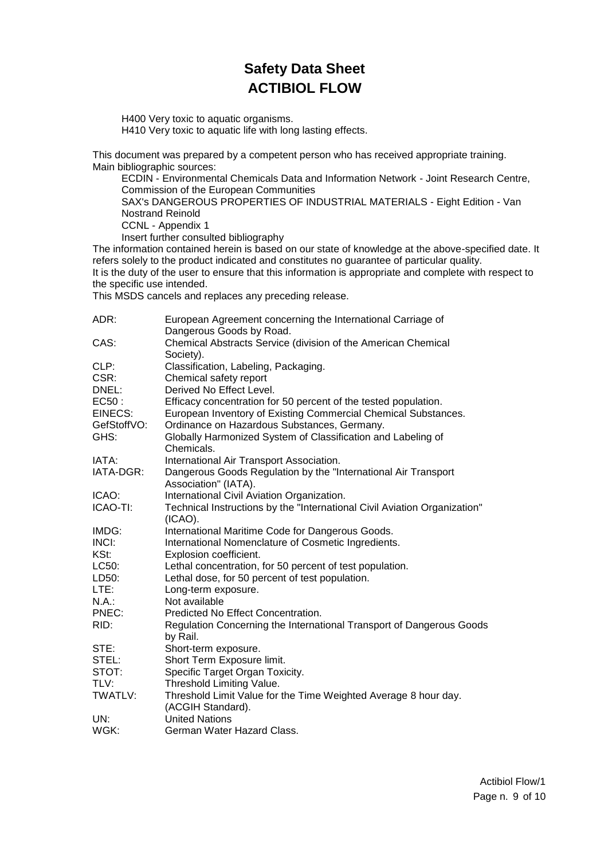H400 Very toxic to aquatic organisms. H410 Very toxic to aquatic life with long lasting effects.

This document was prepared by a competent person who has received appropriate training. Main bibliographic sources:

ECDIN - Environmental Chemicals Data and Information Network - Joint Research Centre, Commission of the European Communities SAX's DANGEROUS PROPERTIES OF INDUSTRIAL MATERIALS - Eight Edition - Van Nostrand Reinold CCNL - Appendix 1 Insert further consulted bibliography

The information contained herein is based on our state of knowledge at the above-specified date. It refers solely to the product indicated and constitutes no guarantee of particular quality. It is the duty of the user to ensure that this information is appropriate and complete with respect to the specific use intended.

This MSDS cancels and replaces any preceding release.

| ADR:        | European Agreement concerning the International Carriage of                      |
|-------------|----------------------------------------------------------------------------------|
|             | Dangerous Goods by Road.                                                         |
| CAS:        | Chemical Abstracts Service (division of the American Chemical<br>Society).       |
| CLP:        | Classification, Labeling, Packaging.                                             |
| CSR:        | Chemical safety report                                                           |
| DNEL:       | Derived No Effect Level.                                                         |
| EC50 :      | Efficacy concentration for 50 percent of the tested population.                  |
| EINECS:     | European Inventory of Existing Commercial Chemical Substances.                   |
| GefStoffVO: | Ordinance on Hazardous Substances, Germany.                                      |
| GHS:        | Globally Harmonized System of Classification and Labeling of                     |
|             | Chemicals.                                                                       |
| IATA:       | International Air Transport Association.                                         |
| IATA-DGR:   | Dangerous Goods Regulation by the "International Air Transport                   |
|             | Association" (IATA).                                                             |
| ICAO:       | International Civil Aviation Organization.                                       |
| ICAO-TI:    | Technical Instructions by the "International Civil Aviation Organization"        |
|             | $(ICAO)$ .                                                                       |
| IMDG:       | International Maritime Code for Dangerous Goods.                                 |
| INCI:       | International Nomenclature of Cosmetic Ingredients.                              |
| KSt:        | Explosion coefficient.                                                           |
| LC50:       | Lethal concentration, for 50 percent of test population.                         |
| LD50:       | Lethal dose, for 50 percent of test population.                                  |
| LTE:        | Long-term exposure.                                                              |
| N.A.:       | Not available                                                                    |
| PNEC:       | Predicted No Effect Concentration.                                               |
| RID:        | Regulation Concerning the International Transport of Dangerous Goods<br>by Rail. |
| STE:        | Short-term exposure.                                                             |
| STEL:       | Short Term Exposure limit.                                                       |
| STOT:       | Specific Target Organ Toxicity.                                                  |
| TLV:        | Threshold Limiting Value.                                                        |
| TWATLV:     | Threshold Limit Value for the Time Weighted Average 8 hour day.                  |
|             | (ACGIH Standard).                                                                |
| UN:         | <b>United Nations</b>                                                            |
| WGK:        | German Water Hazard Class.                                                       |